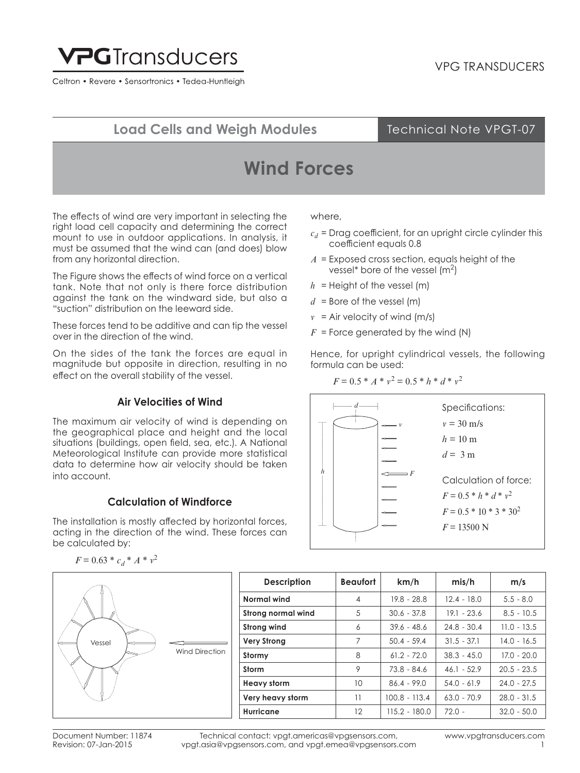

Celtron • Revere • Sensortronics • Tedea-Huntleigh

## **Load Cells and Weigh Modules**

### Technical Note VPGT-07

# **Wind Forces**

The effects of wind are very important in selecting the right load cell capacity and determining the correct mount to use in outdoor applications. In analysis, it must be assumed that the wind can (and does) blow from any horizontal direction.

The Figure shows the effects of wind force on a vertical tank. Note that not only is there force distribution against the tank on the windward side, but also a "suction" distribution on the leeward side.

These forces tend to be additive and can tip the vessel over in the direction of the wind.

On the sides of the tank the forces are equal in magnitude but opposite in direction, resulting in no effect on the overall stability of the vessel.

### **Air Velocities of Wind**

The maximum air velocity of wind is depending on the geographical place and height and the local situations (buildings, open field, sea, etc.). A National Meteorological Institute can provide more statistical data to determine how air velocity should be taken into account.

### **Calculation of Windforce**

The installation is mostly affected by horizontal forces, acting in the direction of the wind. These forces can be calculated by:

$$
F = 0.63 * c_d * A * v^2
$$



**Description Beaufort km/h mis/h m/s Normal wind** 4 19.8 - 28.8 12.4 - 18.0 5.5 - 8.0 **Strong normal wind**   $\begin{array}{|c|c|c|c|c|} \hline \end{array}$  5 | 30.6 - 37.8 | 19.1 - 23.6 | 8.5 - 10.5 **Strong wind** 6 39.6 - 48.6 24.8 - 30.4 11.0 - 13.5 **Very Strong** 7 | 50.4 - 59.4 | 31.5 - 37.1 | 14.0 - 16.5 **Stormy** 8 8 61.2 - 72.0 38.3 - 45.0 17.0 - 20.0 **Storm** 9 73.8 - 84.6 46.1 - 52.9 20.5 - 23.5 **Heavy storm**  $\vert$  10  $\vert$  86.4 - 99.0  $\vert$  54.0 - 61.9  $\vert$  24.0 - 27.5 **Very heavy storm** 11 100.8 - 113.4 63.0 - 70.9 28.0 - 31.5 **Hurricane** 12 115.2 - 180.0 72.0 - 32.0 - 50.0

Technical contact: vpgt.americas@vpgsensors.com, vpgt.asia@vpgsensors.com, and vpgt.emea@vpgsensors.com www.vpgtransducers.com 1

#### where,

- $c_d$  = Drag coefficient, for an upright circle cylinder this coefficient equals 0.8
- *A* = Exposed cross section, equals height of the vessel<sup>\*</sup> bore of the vessel  $(m<sup>2</sup>)$
- $h =$  Height of the vessel (m)
- $d =$  Bore of the vessel (m)
- $v = Air$  velocity of wind (m/s)
- $F =$  Force generated by the wind (N)

Hence, for upright cylindrical vessels, the following formula can be used:

#### $F = 0.5 * A * v^2 = 0.5 * h * d * v^2$